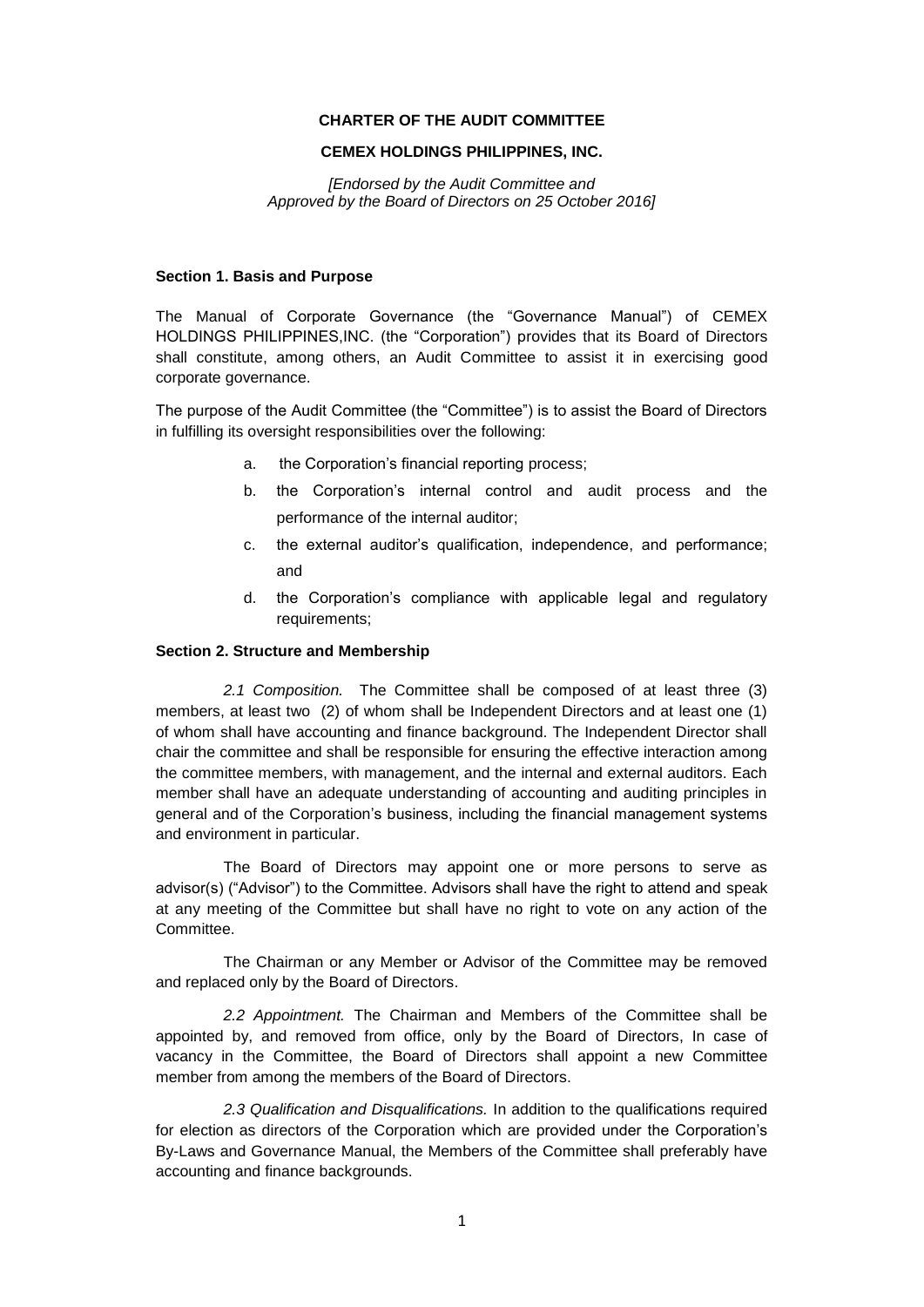## **CHARTER OF THE AUDIT COMMITTEE**

#### **CEMEX HOLDINGS PHILIPPINES, INC.**

*[Endorsed by the Audit Committee and Approved by the Board of Directors on 25 October 2016]*

#### **Section 1. Basis and Purpose**

The Manual of Corporate Governance (the "Governance Manual") of CEMEX HOLDINGS PHILIPPINES,INC. (the "Corporation") provides that its Board of Directors shall constitute, among others, an Audit Committee to assist it in exercising good corporate governance.

The purpose of the Audit Committee (the "Committee") is to assist the Board of Directors in fulfilling its oversight responsibilities over the following:

- a. the Corporation's financial reporting process;
- b. the Corporation's internal control and audit process and the performance of the internal auditor;
- c. the external auditor's qualification, independence, and performance; and
- d. the Corporation's compliance with applicable legal and regulatory requirements;

## **Section 2. Structure and Membership**

*2.1 Composition.* The Committee shall be composed of at least three (3) members, at least two (2) of whom shall be Independent Directors and at least one (1) of whom shall have accounting and finance background. The Independent Director shall chair the committee and shall be responsible for ensuring the effective interaction among the committee members, with management, and the internal and external auditors. Each member shall have an adequate understanding of accounting and auditing principles in general and of the Corporation's business, including the financial management systems and environment in particular.

The Board of Directors may appoint one or more persons to serve as advisor(s) ("Advisor") to the Committee. Advisors shall have the right to attend and speak at any meeting of the Committee but shall have no right to vote on any action of the **Committee.** 

The Chairman or any Member or Advisor of the Committee may be removed and replaced only by the Board of Directors.

*2.2 Appointment.* The Chairman and Members of the Committee shall be appointed by, and removed from office, only by the Board of Directors, In case of vacancy in the Committee, the Board of Directors shall appoint a new Committee member from among the members of the Board of Directors.

*2.3 Qualification and Disqualifications.* In addition to the qualifications required for election as directors of the Corporation which are provided under the Corporation's By-Laws and Governance Manual, the Members of the Committee shall preferably have accounting and finance backgrounds.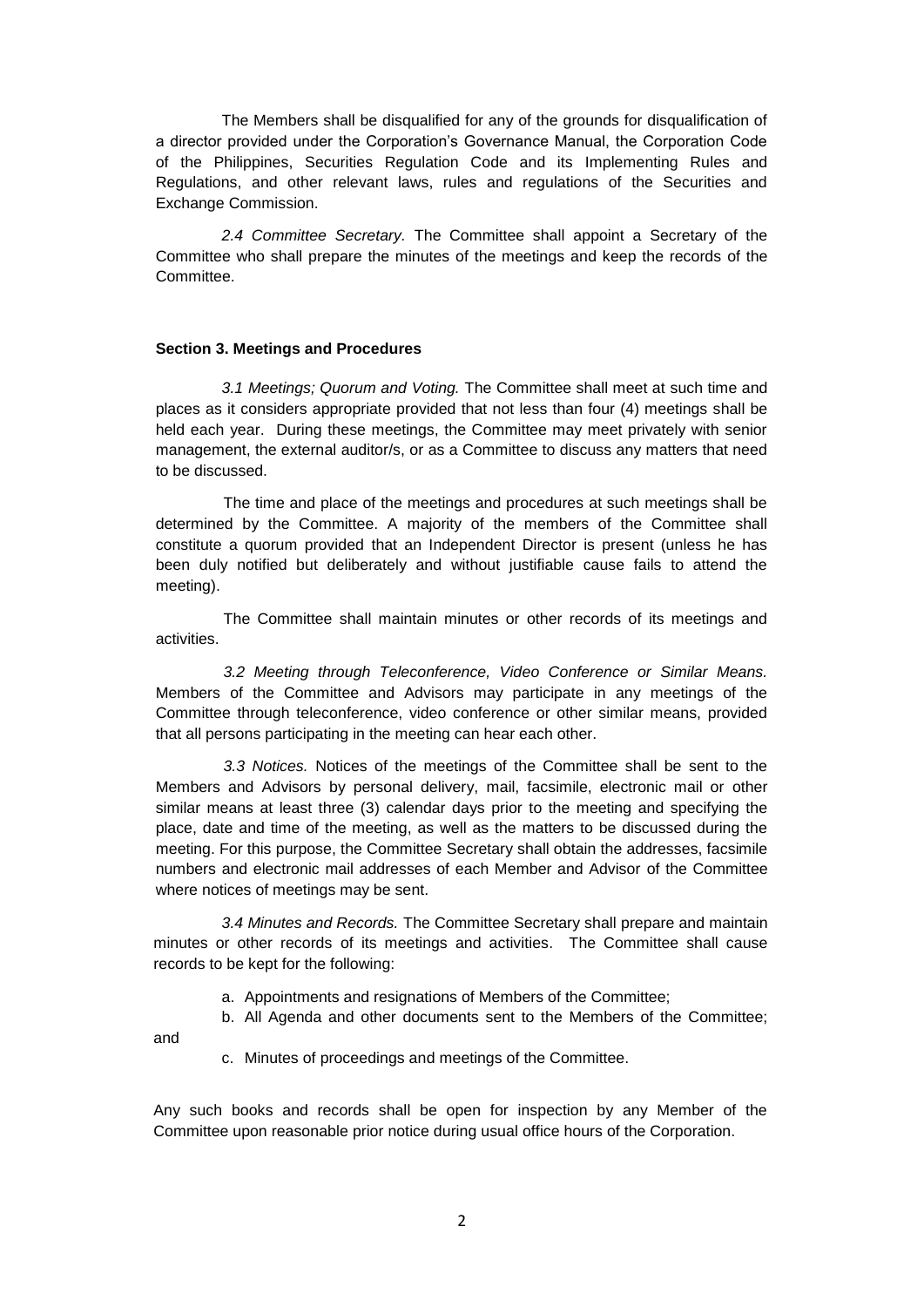The Members shall be disqualified for any of the grounds for disqualification of a director provided under the Corporation's Governance Manual, the Corporation Code of the Philippines, Securities Regulation Code and its Implementing Rules and Regulations, and other relevant laws, rules and regulations of the Securities and Exchange Commission.

*2.4 Committee Secretary.* The Committee shall appoint a Secretary of the Committee who shall prepare the minutes of the meetings and keep the records of the Committee.

## **Section 3. Meetings and Procedures**

*3.1 Meetings; Quorum and Voting.* The Committee shall meet at such time and places as it considers appropriate provided that not less than four (4) meetings shall be held each year. During these meetings, the Committee may meet privately with senior management, the external auditor/s, or as a Committee to discuss any matters that need to be discussed.

The time and place of the meetings and procedures at such meetings shall be determined by the Committee. A majority of the members of the Committee shall constitute a quorum provided that an Independent Director is present (unless he has been duly notified but deliberately and without justifiable cause fails to attend the meeting).

The Committee shall maintain minutes or other records of its meetings and activities.

*3.2 Meeting through Teleconference, Video Conference or Similar Means.*  Members of the Committee and Advisors may participate in any meetings of the Committee through teleconference, video conference or other similar means, provided that all persons participating in the meeting can hear each other.

*3.3 Notices.* Notices of the meetings of the Committee shall be sent to the Members and Advisors by personal delivery, mail, facsimile, electronic mail or other similar means at least three (3) calendar days prior to the meeting and specifying the place, date and time of the meeting, as well as the matters to be discussed during the meeting. For this purpose, the Committee Secretary shall obtain the addresses, facsimile numbers and electronic mail addresses of each Member and Advisor of the Committee where notices of meetings may be sent.

*3.4 Minutes and Records.* The Committee Secretary shall prepare and maintain minutes or other records of its meetings and activities. The Committee shall cause records to be kept for the following:

a. Appointments and resignations of Members of the Committee;

b. All Agenda and other documents sent to the Members of the Committee;

c. Minutes of proceedings and meetings of the Committee.

and

Any such books and records shall be open for inspection by any Member of the Committee upon reasonable prior notice during usual office hours of the Corporation.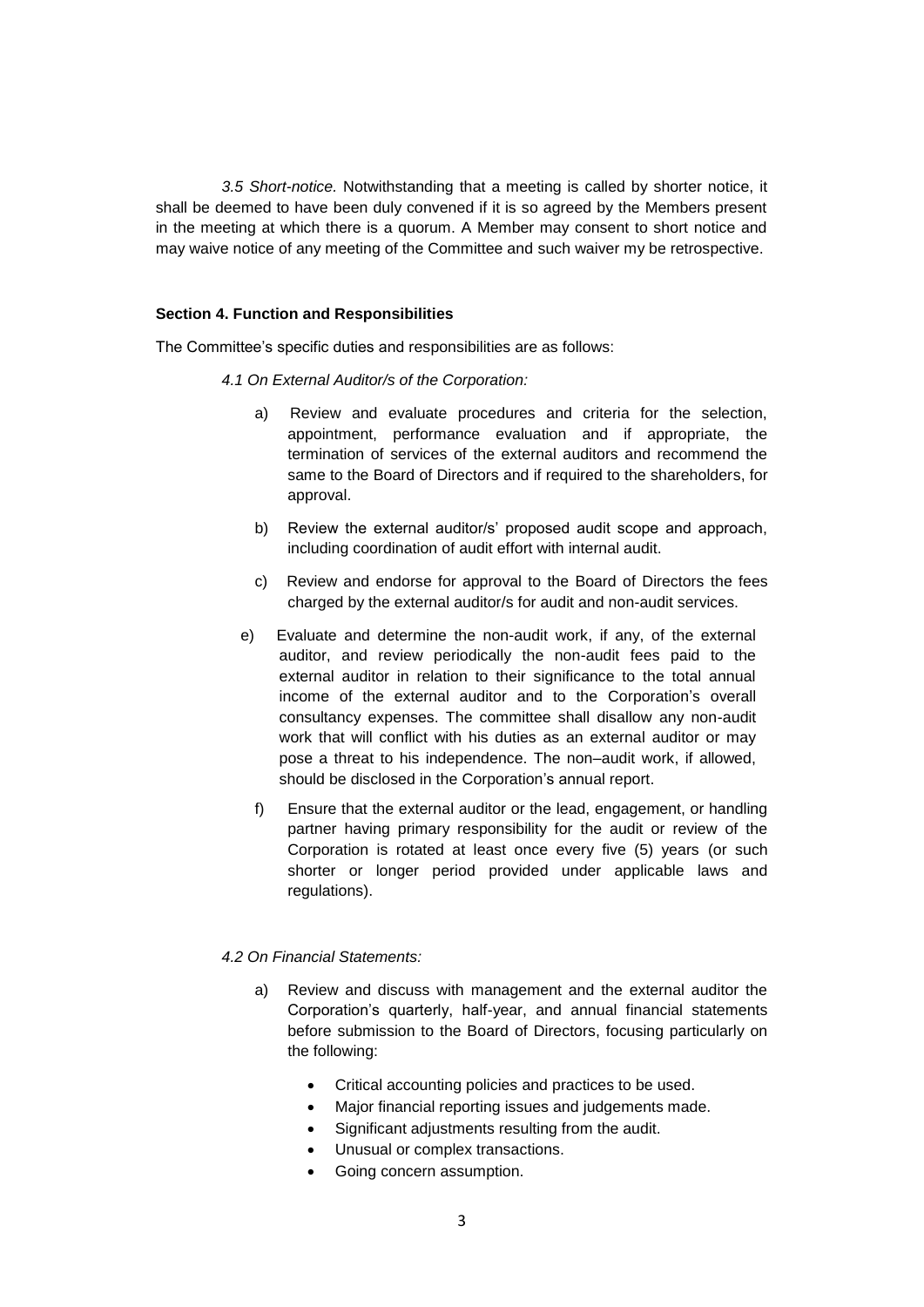*3.5 Short-notice.* Notwithstanding that a meeting is called by shorter notice, it shall be deemed to have been duly convened if it is so agreed by the Members present in the meeting at which there is a quorum. A Member may consent to short notice and may waive notice of any meeting of the Committee and such waiver my be retrospective.

## **Section 4. Function and Responsibilities**

The Committee's specific duties and responsibilities are as follows:

- *4.1 On External Auditor/s of the Corporation:*
	- a) Review and evaluate procedures and criteria for the selection, appointment, performance evaluation and if appropriate, the termination of services of the external auditors and recommend the same to the Board of Directors and if required to the shareholders, for approval.
	- b) Review the external auditor/s' proposed audit scope and approach, including coordination of audit effort with internal audit.
	- c) Review and endorse for approval to the Board of Directors the fees charged by the external auditor/s for audit and non-audit services.
	- e) Evaluate and determine the non-audit work, if any, of the external auditor, and review periodically the non-audit fees paid to the external auditor in relation to their significance to the total annual income of the external auditor and to the Corporation's overall consultancy expenses. The committee shall disallow any non-audit work that will conflict with his duties as an external auditor or may pose a threat to his independence. The non–audit work, if allowed, should be disclosed in the Corporation's annual report.
		- f) Ensure that the external auditor or the lead, engagement, or handling partner having primary responsibility for the audit or review of the Corporation is rotated at least once every five (5) years (or such shorter or longer period provided under applicable laws and regulations).

## *4.2 On Financial Statements:*

- a) Review and discuss with management and the external auditor the Corporation's quarterly, half-year, and annual financial statements before submission to the Board of Directors, focusing particularly on the following:
	- Critical accounting policies and practices to be used.
	- Major financial reporting issues and judgements made.
	- Significant adjustments resulting from the audit.
	- Unusual or complex transactions.
	- Going concern assumption.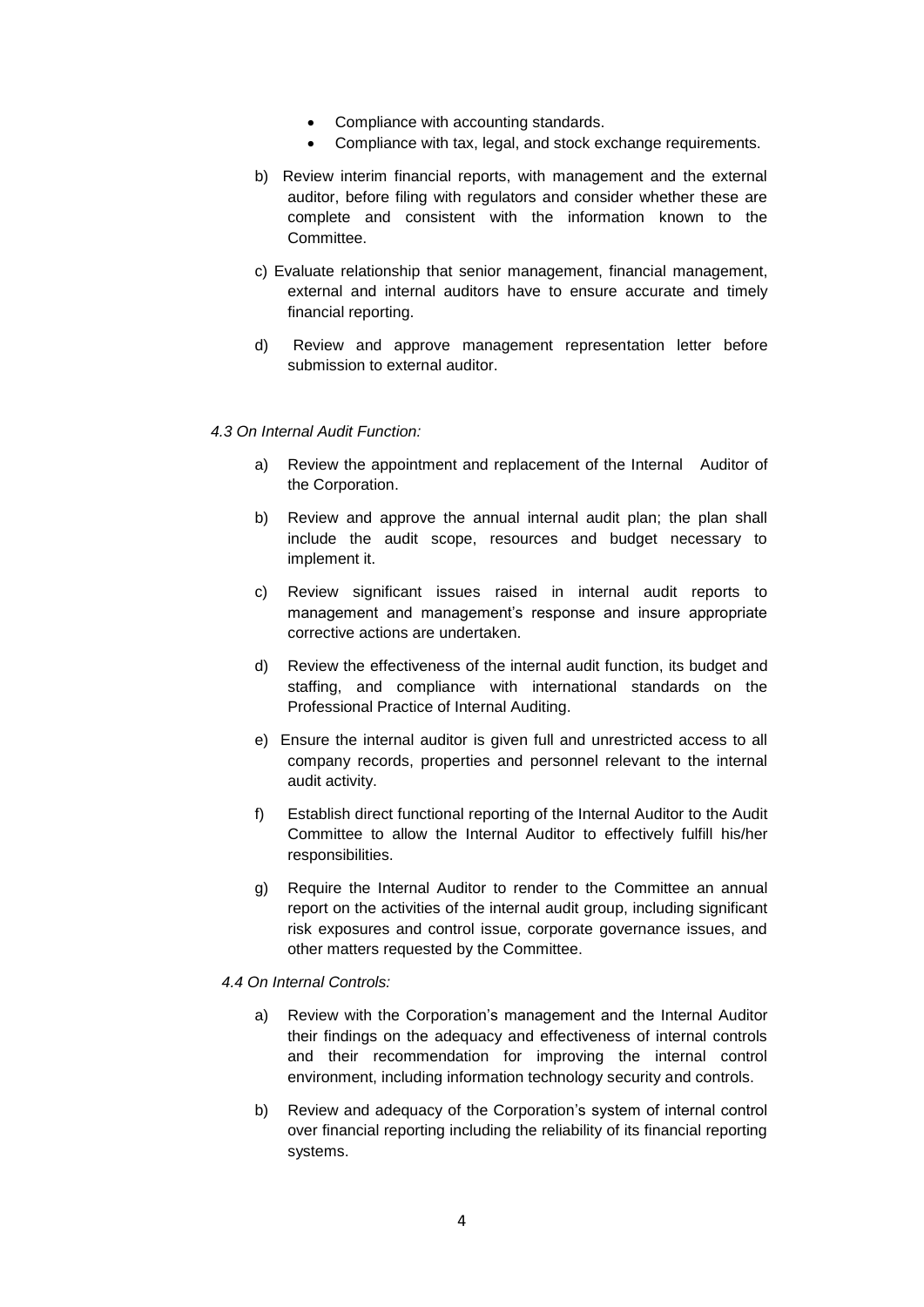- Compliance with accounting standards.
- Compliance with tax, legal, and stock exchange requirements.
- b) Review interim financial reports, with management and the external auditor, before filing with regulators and consider whether these are complete and consistent with the information known to the Committee.
- c) Evaluate relationship that senior management, financial management, external and internal auditors have to ensure accurate and timely financial reporting.
- d) Review and approve management representation letter before submission to external auditor.

# *4.3 On Internal Audit Function:*

- a) Review the appointment and replacement of the Internal Auditor of the Corporation.
- b) Review and approve the annual internal audit plan; the plan shall include the audit scope, resources and budget necessary to implement it.
- c) Review significant issues raised in internal audit reports to management and management's response and insure appropriate corrective actions are undertaken.
- d) Review the effectiveness of the internal audit function, its budget and staffing, and compliance with international standards on the Professional Practice of Internal Auditing.
- e) Ensure the internal auditor is given full and unrestricted access to all company records, properties and personnel relevant to the internal audit activity.
- f) Establish direct functional reporting of the Internal Auditor to the Audit Committee to allow the Internal Auditor to effectively fulfill his/her responsibilities.
- g) Require the Internal Auditor to render to the Committee an annual report on the activities of the internal audit group, including significant risk exposures and control issue, corporate governance issues, and other matters requested by the Committee.

# *4.4 On Internal Controls:*

- a) Review with the Corporation's management and the Internal Auditor their findings on the adequacy and effectiveness of internal controls and their recommendation for improving the internal control environment, including information technology security and controls.
- b) Review and adequacy of the Corporation's system of internal control over financial reporting including the reliability of its financial reporting systems.